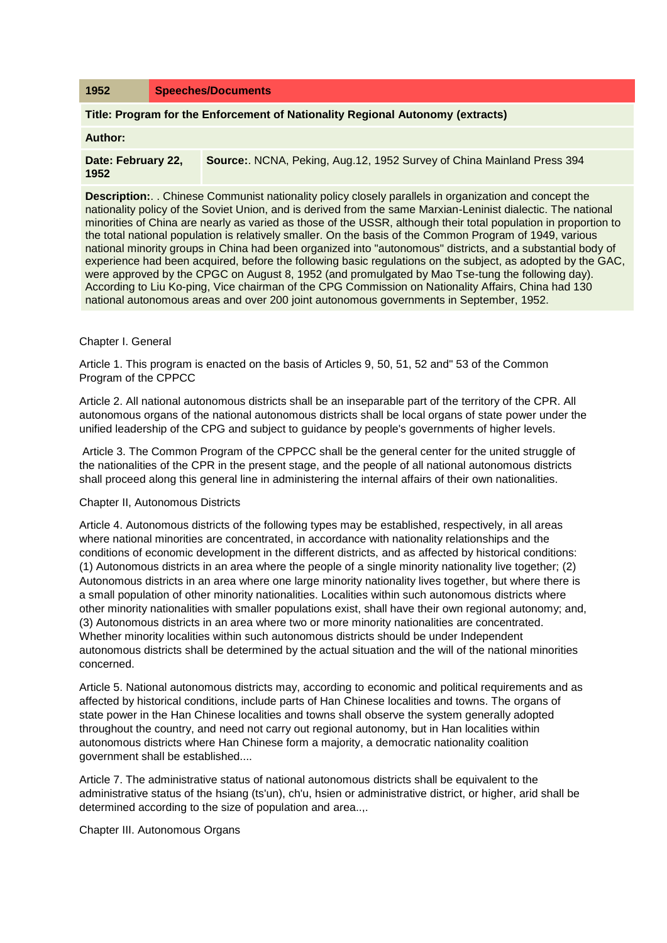# **1952 Speeches/Documents**

# **Title: Program for the Enforcement of Nationality Regional Autonomy (extracts)**

#### **Author:**

**Date: February 22, 1952 Source:**. NCNA, Peking, Aug.12, 1952 Survey of China Mainland Press 394

**Description:**. . Chinese Communist nationality policy closely parallels in organization and concept the nationality policy of the Soviet Union, and is derived from the same Marxian-Leninist dialectic. The national minorities of China are nearly as varied as those of the USSR, although their total population in proportion to the total national population is relatively smaller. On the basis of the Common Program of 1949, various national minority groups in China had been organized into "autonomous" districts, and a substantial body of experience had been acquired, before the following basic regulations on the subject, as adopted by the GAC, were approved by the CPGC on August 8, 1952 (and promulgated by Mao Tse-tung the following day). According to Liu Ko-ping, Vice chairman of the CPG Commission on Nationality Affairs, China had 130 national autonomous areas and over 200 joint autonomous governments in September, 1952.

#### Chapter I. General

Article 1. This program is enacted on the basis of Articles 9, 50, 51, 52 and" 53 of the Common Program of the CPPCC

Article 2. All national autonomous districts shall be an inseparable part of the territory of the CPR. All autonomous organs of the national autonomous districts shall be local organs of state power under the unified leadership of the CPG and subject to guidance by people's governments of higher levels.

Article 3. The Common Program of the CPPCC shall be the general center for the united struggle of the nationalities of the CPR in the present stage, and the people of all national autonomous districts shall proceed along this general line in administering the internal affairs of their own nationalities.

## Chapter II, Autonomous Districts

Article 4. Autonomous districts of the following types may be established, respectively, in all areas where national minorities are concentrated, in accordance with nationality relationships and the conditions of economic development in the different districts, and as affected by historical conditions: (1) Autonomous districts in an area where the people of a single minority nationality live together; (2) Autonomous districts in an area where one large minority nationality lives together, but where there is a small population of other minority nationalities. Localities within such autonomous districts where other minority nationalities with smaller populations exist, shall have their own regional autonomy; and, (3) Autonomous districts in an area where two or more minority nationalities are concentrated. Whether minority localities within such autonomous districts should be under Independent autonomous districts shall be determined by the actual situation and the will of the national minorities concerned.

Article 5. National autonomous districts may, according to economic and political requirements and as affected by historical conditions, include parts of Han Chinese localities and towns. The organs of state power in the Han Chinese localities and towns shall observe the system generally adopted throughout the country, and need not carry out regional autonomy, but in Han localities within autonomous districts where Han Chinese form a majority, a democratic nationality coalition government shall be established....

Article 7. The administrative status of national autonomous districts shall be equivalent to the administrative status of the hsiang (ts'un), ch'u, hsien or administrative district, or higher, arid shall be determined according to the size of population and area..,.

## Chapter III. Autonomous Organs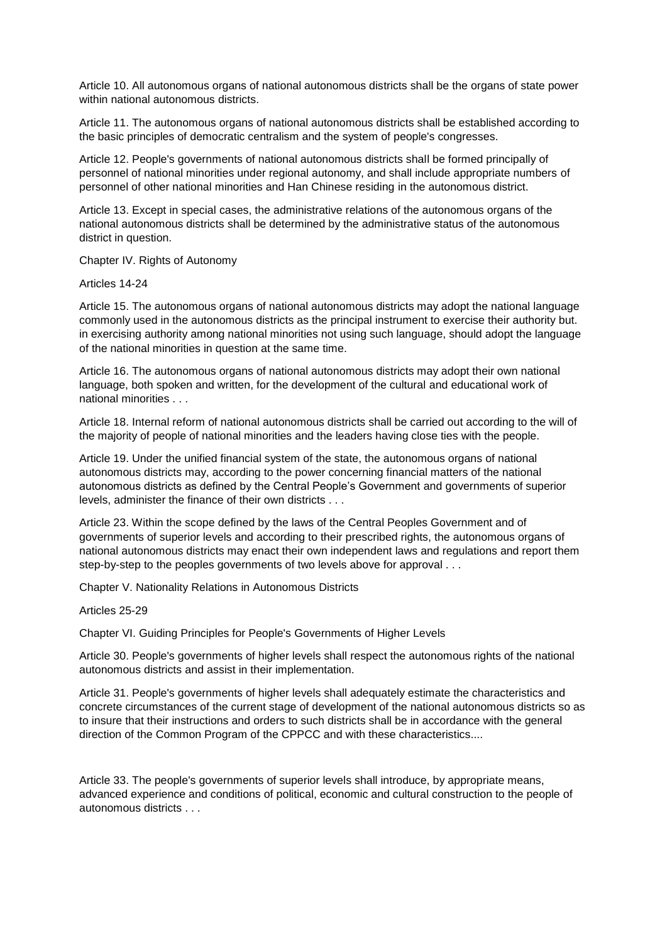Article 10. All autonomous organs of national autonomous districts shall be the organs of state power within national autonomous districts.

Article 11. The autonomous organs of national autonomous districts shall be established according to the basic principles of democratic centralism and the system of people's congresses.

Article 12. People's governments of national autonomous districts shall be formed principally of personnel of national minorities under regional autonomy, and shall include appropriate numbers of personnel of other national minorities and Han Chinese residing in the autonomous district.

Article 13. Except in special cases, the administrative relations of the autonomous organs of the national autonomous districts shall be determined by the administrative status of the autonomous district in question.

Chapter IV. Rights of Autonomy

Articles 14-24

Article 15. The autonomous organs of national autonomous districts may adopt the national language commonly used in the autonomous districts as the principal instrument to exercise their authority but. in exercising authority among national minorities not using such language, should adopt the language of the national minorities in question at the same time.

Article 16. The autonomous organs of national autonomous districts may adopt their own national language, both spoken and written, for the development of the cultural and educational work of national minorities . . .

Article 18. Internal reform of national autonomous districts shall be carried out according to the will of the majority of people of national minorities and the leaders having close ties with the people.

Article 19. Under the unified financial system of the state, the autonomous organs of national autonomous districts may, according to the power concerning financial matters of the national autonomous districts as defined by the Central People's Government and governments of superior levels, administer the finance of their own districts . . .

Article 23. Within the scope defined by the laws of the Central Peoples Government and of governments of superior levels and according to their prescribed rights, the autonomous organs of national autonomous districts may enact their own independent laws and regulations and report them step-by-step to the peoples governments of two levels above for approval . . .

Chapter V. Nationality Relations in Autonomous Districts

Articles 25-29

Chapter VI. Guiding Principles for People's Governments of Higher Levels

Article 30. People's governments of higher levels shall respect the autonomous rights of the national autonomous districts and assist in their implementation.

Article 31. People's governments of higher levels shall adequately estimate the characteristics and concrete circumstances of the current stage of development of the national autonomous districts so as to insure that their instructions and orders to such districts shall be in accordance with the general direction of the Common Program of the CPPCC and with these characteristics....

Article 33. The people's governments of superior levels shall introduce, by appropriate means, advanced experience and conditions of political, economic and cultural construction to the people of autonomous districts . . .